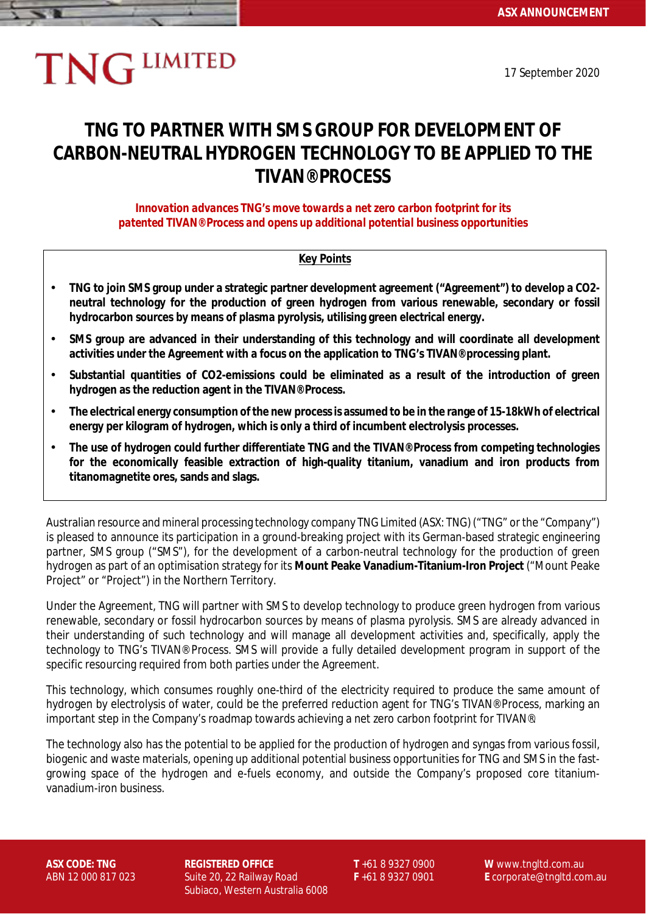# **TNG LIMITED**

17 September 2020

# **TNG TO PARTNER WITH SMS GROUP FOR DEVELOPMENT OF CARBON-NEUTRAL HYDROGEN TECHNOLOGY TO BE APPLIED TO THE TIVAN® PROCESS**

*Innovation advances TNG's move towards a net zero carbon footprint for its patented TIVAN® Process and opens up additional potential business opportunities*

## **Key Points**

- **TNG to join SMS group under a strategic partner development agreement ("Agreement") to develop a CO2-** J. **neutral technology for the production of green hydrogen from various renewable, secondary or fossil hydrocarbon sources by means of plasma pyrolysis, utilising green electrical energy.**
- l, **SMS group are advanced in their understanding of this technology and will coordinate all development activities under the Agreement with a focus on the application to TNG's TIVAN® processing plant.**
- **Substantial quantities of CO2-emissions could be eliminated as a result of the introduction of green**  l, **hydrogen as the reduction agent in the TIVAN® Process.**
- **The electrical energy consumption of the new process is assumed to be in the range of 15-18kWh of electrical**  l, **energy per kilogram of hydrogen, which is only a third of incumbent electrolysis processes.**
- **The use of hydrogen could further differentiate TNG and the TIVAN® Process from competing technologies**  l, **for the economically feasible extraction of high-quality titanium, vanadium and iron products from titanomagnetite ores, sands and slags.**

Australian resource and mineral processing technology company TNG Limited (ASX: TNG) ("TNG" or the "Company") is pleased to announce its participation in a ground-breaking project with its German-based strategic engineering partner, SMS group ("SMS"), for the development of a carbon-neutral technology for the production of green hydrogen as part of an optimisation strategy for its **Mount Peake Vanadium-Titanium-Iron Project** ("Mount Peake Project" or "Project") in the Northern Territory.

Under the Agreement, TNG will partner with SMS to develop technology to produce green hydrogen from various renewable, secondary or fossil hydrocarbon sources by means of plasma pyrolysis. SMS are already advanced in their understanding of such technology and will manage all development activities and, specifically, apply the technology to TNG's TIVAN® Process. SMS will provide a fully detailed development program in support of the specific resourcing required from both parties under the Agreement.

This technology, which consumes roughly one-third of the electricity required to produce the same amount of hydrogen by electrolysis of water, could be the preferred reduction agent for TNG's TIVAN® Process, marking an important step in the Company's roadmap towards achieving a net zero carbon footprint for TIVAN®.

The technology also has the potential to be applied for the production of hydrogen and syngas from various fossil, biogenic and waste materials, opening up additional potential business opportunities for TNG and SMS in the fastgrowing space of the hydrogen and e-fuels economy, and outside the Company's proposed core titaniumvanadium-iron business.

**ASX CODE: TNG REGISTERED OFFICE T** +61 8 9327 0900 **W** www.tngltd.com.au ABN 12 000 817 023 Suite 20, 22 Railway Road **F** +61 8 9327 0901 **E** corporate@tngltd.com.au Subiaco, Western Australia 6008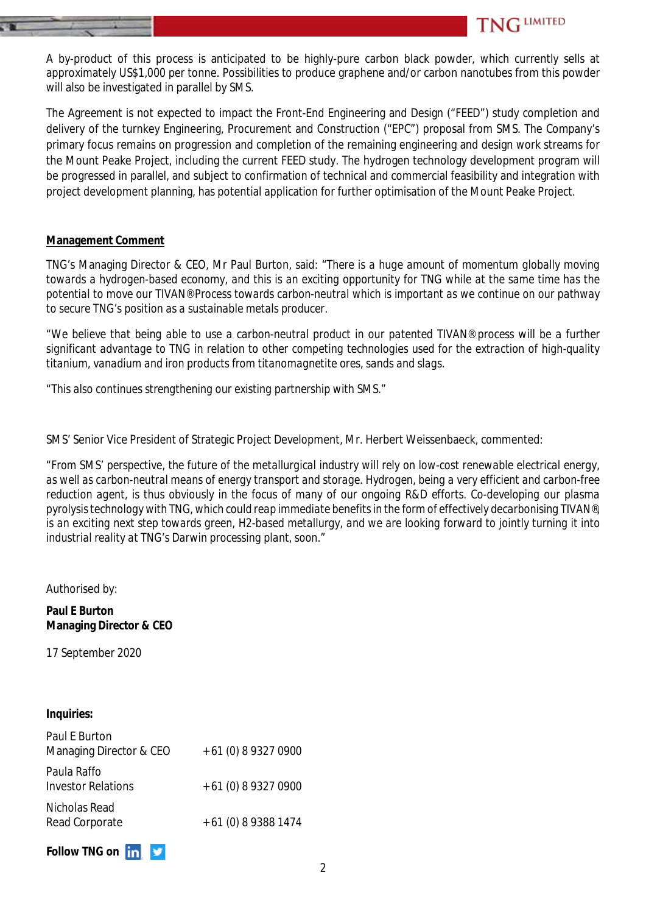A by-product of this process is anticipated to be highly-pure carbon black powder, which currently sells at approximately US\$1,000 per tonne. Possibilities to produce graphene and/or carbon nanotubes from this powder will also be investigated in parallel by SMS.

**TNG LIMITED** 

The Agreement is not expected to impact the Front-End Engineering and Design ("FEED") study completion and delivery of the turnkey Engineering, Procurement and Construction ("EPC") proposal from SMS. The Company's primary focus remains on progression and completion of the remaining engineering and design work streams for the Mount Peake Project, including the current FEED study. The hydrogen technology development program will be progressed in parallel, and subject to confirmation of technical and commercial feasibility and integration with project development planning, has potential application for further optimisation of the Mount Peake Project.

### **Management Comment**

TNG's Managing Director & CEO, Mr Paul Burton, said: "*There is a huge amount of momentum globally moving towards a hydrogen-based economy, and this is an exciting opportunity for TNG while at the same time has the potential to move our TIVAN® Process towards carbon-neutral which is important as we continue on our pathway to secure TNG's position as a sustainable metals producer.*

*"We believe that being able to use a carbon-neutral product in our patented TIVAN® process will be a further significant advantage to TNG in relation to other competing technologies used for the extraction of high-quality titanium, vanadium and iron products from titanomagnetite ores, sands and slags.*

*"This also continues strengthening our existing partnership with SMS."*

SMS' Senior Vice President of Strategic Project Development, Mr. Herbert Weissenbaeck, commented:

*"From SMS' perspective, the future of the metallurgical industry will rely on low-cost renewable electrical energy, as well as carbon-neutral means of energy transport and storage. Hydrogen, being a very efficient and carbon-free reduction agent, is thus obviously in the focus of many of our ongoing R&D efforts. Co-developing our plasma pyrolysis technology with TNG, which could reap immediate benefits in the form of effectively decarbonising TIVAN®, is an exciting next step towards green, H2-based metallurgy, and we are looking forward to jointly turning it into industrial reality at TNG's Darwin processing plant, soon."*

Authorised by:

**Paul E Burton Managing Director & CEO**

17 September 2020

### **Inquiries:**

| Paul E Burton<br>Managing Director & CEO | + 61 (0) 8 9327 0900 |
|------------------------------------------|----------------------|
| Paula Raffo<br><b>Investor Relations</b> | $+61(0)893270900$    |
| Nicholas Read<br>Read Corporate          | + 61 (0) 8 9388 1474 |

**Follow TNG on**